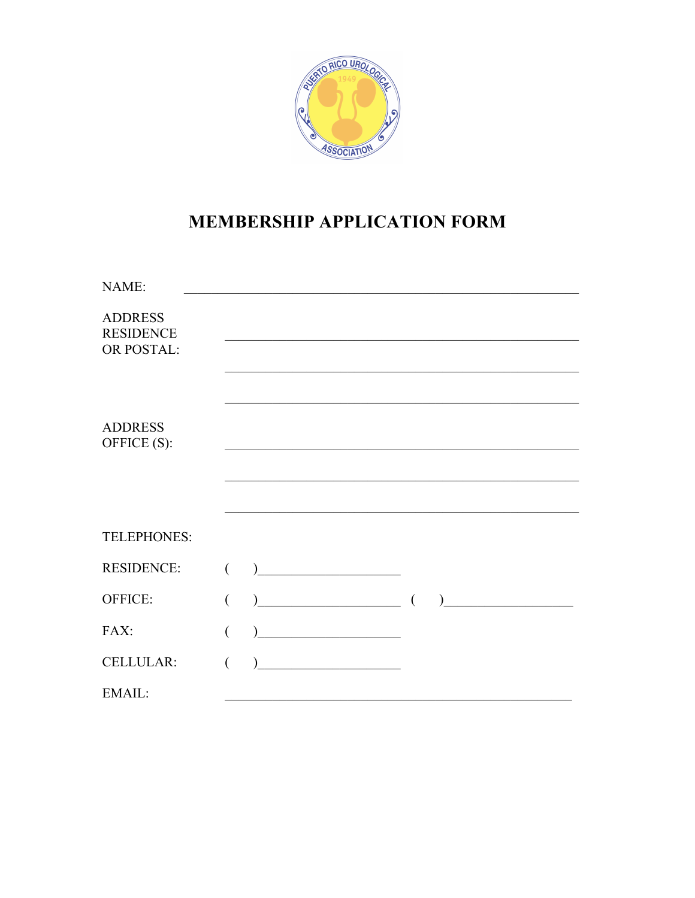

# **MEMBERSHIP APPLICATION FORM**

| NAME:                                            |   |                                                  |  |                                           |
|--------------------------------------------------|---|--------------------------------------------------|--|-------------------------------------------|
| <b>ADDRESS</b><br><b>RESIDENCE</b><br>OR POSTAL: |   |                                                  |  |                                           |
|                                                  |   |                                                  |  |                                           |
| <b>ADDRESS</b><br>OFFICE (S):                    |   |                                                  |  |                                           |
|                                                  |   |                                                  |  |                                           |
|                                                  |   |                                                  |  |                                           |
| TELEPHONES:                                      |   |                                                  |  |                                           |
| <b>RESIDENCE:</b>                                | € | <u> 1989 - Johann Barbara, martxa amerikan p</u> |  |                                           |
| OFFICE:                                          |   | $\begin{array}{c} \hline \end{array}$            |  | <u> 1989 - Johann Barbara, martxa al-</u> |
| FAX:                                             |   |                                                  |  |                                           |
| <b>CELLULAR:</b>                                 |   | <u> 1990 - Johann Barbara, mart</u>              |  |                                           |
| EMAIL:                                           |   |                                                  |  |                                           |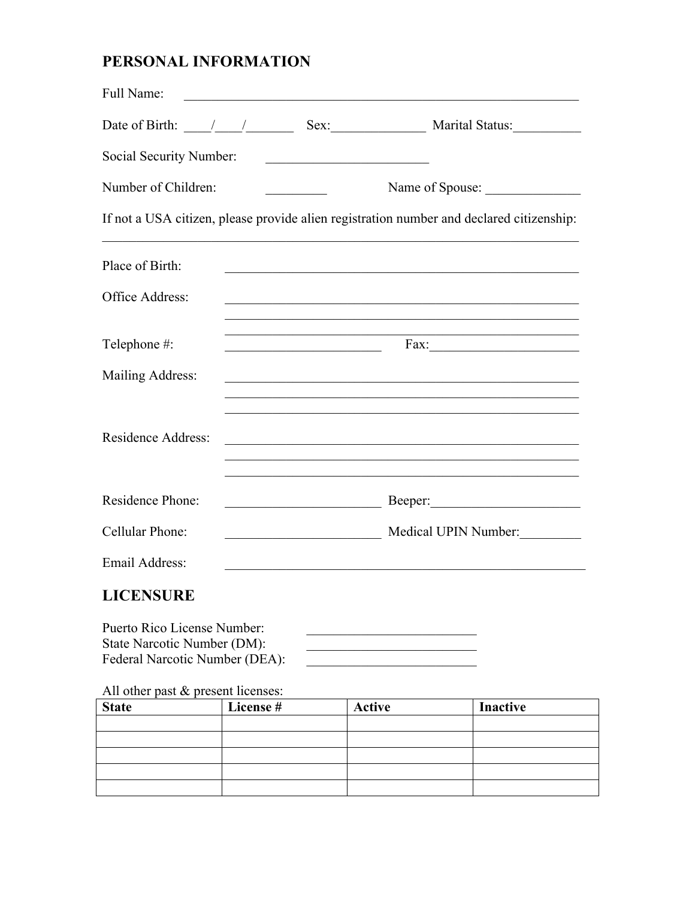# PERSONAL INFORMATION

| Full Name:                                                                               |                 |                                                                                                                                                                                                                                              |                                                                                                                                                                                                                                             |
|------------------------------------------------------------------------------------------|-----------------|----------------------------------------------------------------------------------------------------------------------------------------------------------------------------------------------------------------------------------------------|---------------------------------------------------------------------------------------------------------------------------------------------------------------------------------------------------------------------------------------------|
|                                                                                          |                 |                                                                                                                                                                                                                                              |                                                                                                                                                                                                                                             |
| Social Security Number:                                                                  |                 |                                                                                                                                                                                                                                              |                                                                                                                                                                                                                                             |
| Number of Children:                                                                      | Name of Spouse: |                                                                                                                                                                                                                                              |                                                                                                                                                                                                                                             |
| If not a USA citizen, please provide alien registration number and declared citizenship: |                 |                                                                                                                                                                                                                                              |                                                                                                                                                                                                                                             |
| Place of Birth:                                                                          |                 |                                                                                                                                                                                                                                              | <u> 1989 - Johann Stoff, amerikansk politiker (d. 1989)</u>                                                                                                                                                                                 |
| Office Address:                                                                          |                 |                                                                                                                                                                                                                                              | and the control of the control of the control of the control of the control of the control of the control of the<br><u> 1989 - Johann Stoff, amerikansk politiker (d. 1989)</u>                                                             |
| Telephone #:                                                                             |                 | <u> 1989 - Johann John Stone, markin fan it ferstjer fan it ferstjer fan it ferstjer fan it ferstjer fan it fers</u><br><u> 1989 - Johann John Stone, meil in der Stone und der Stone und der Stone und der Stone und der Stone und der </u> | Fax:                                                                                                                                                                                                                                        |
| Mailing Address:                                                                         |                 |                                                                                                                                                                                                                                              |                                                                                                                                                                                                                                             |
| Residence Address:                                                                       |                 |                                                                                                                                                                                                                                              | <u> 1999 - 1999 - 1999 - 1999 - 1999 - 1999 - 1999 - 1999 - 1999 - 1999 - 1999 - 1999 - 1999 - 1999 - 1999 - 19</u><br><u> 1989 - Johann John Harry, mars ar yn y brenin y brenin y brenin y brenin y brenin y brenin y brenin y brenin</u> |
| Residence Phone:                                                                         |                 |                                                                                                                                                                                                                                              |                                                                                                                                                                                                                                             |
| Cellular Phone:                                                                          |                 |                                                                                                                                                                                                                                              | Medical UPIN Number:                                                                                                                                                                                                                        |
| Email Address:                                                                           |                 |                                                                                                                                                                                                                                              |                                                                                                                                                                                                                                             |

# **LICENSURE**

| Puerto Rico License Number:    |  |
|--------------------------------|--|
| State Narcotic Number (DM):    |  |
| Federal Narcotic Number (DEA): |  |

|  | All other past & present licenses: |  |  |  |
|--|------------------------------------|--|--|--|
|--|------------------------------------|--|--|--|

| <b>State</b> | License # | <b>Active</b> | <b>Inactive</b> |
|--------------|-----------|---------------|-----------------|
|              |           |               |                 |
|              |           |               |                 |
|              |           |               |                 |
|              |           |               |                 |
|              |           |               |                 |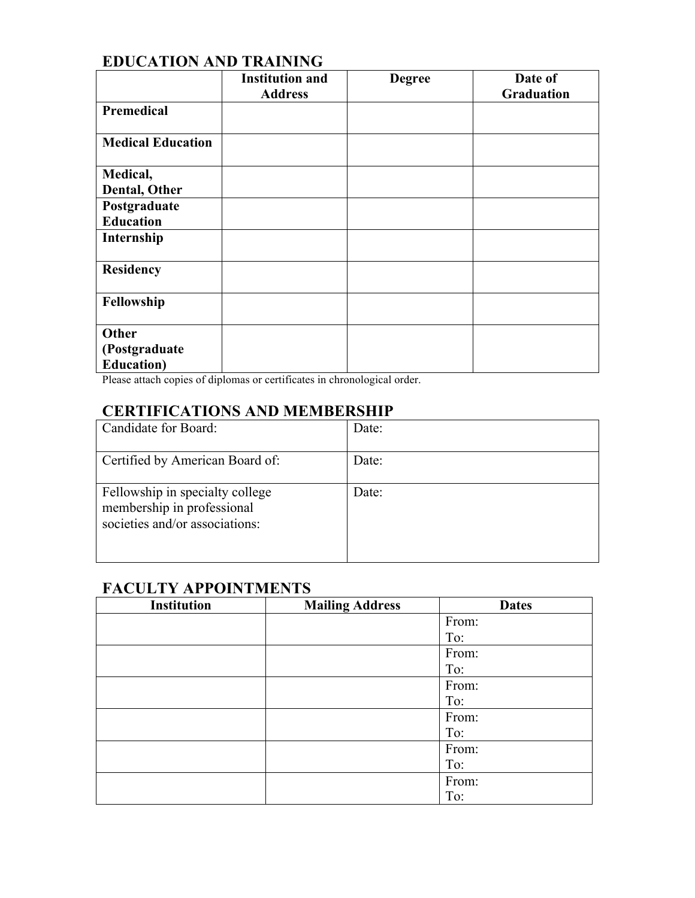## **EDUCATION AND TRAINING**

|                          | <b>Institution and</b> | <b>Degree</b> | Date of           |
|--------------------------|------------------------|---------------|-------------------|
|                          | <b>Address</b>         |               | <b>Graduation</b> |
| Premedical               |                        |               |                   |
| <b>Medical Education</b> |                        |               |                   |
| Medical,                 |                        |               |                   |
| Dental, Other            |                        |               |                   |
| Postgraduate             |                        |               |                   |
| <b>Education</b>         |                        |               |                   |
| Internship               |                        |               |                   |
| <b>Residency</b>         |                        |               |                   |
| Fellowship               |                        |               |                   |
| Other                    |                        |               |                   |
| (Postgraduate            |                        |               |                   |
| <b>Education</b> )       |                        |               |                   |

Please attach copies of diplomas or certificates in chronological order.

#### **CERTIFICATIONS AND MEMBERSHIP**

| Candidate for Board:                                                                            | Date: |
|-------------------------------------------------------------------------------------------------|-------|
| Certified by American Board of:                                                                 | Date: |
| Fellowship in specialty college<br>membership in professional<br>societies and/or associations: | Date: |

### **FACULTY APPOINTMENTS**

| <b>Institution</b> | <b>Mailing Address</b> | <b>Dates</b> |
|--------------------|------------------------|--------------|
|                    |                        | From:        |
|                    |                        | To:          |
|                    |                        | From:        |
|                    |                        | To:          |
|                    |                        | From:        |
|                    |                        | To:          |
|                    |                        | From:        |
|                    |                        | To:          |
|                    |                        | From:        |
|                    |                        | To:          |
|                    |                        | From:        |
|                    |                        | To:          |